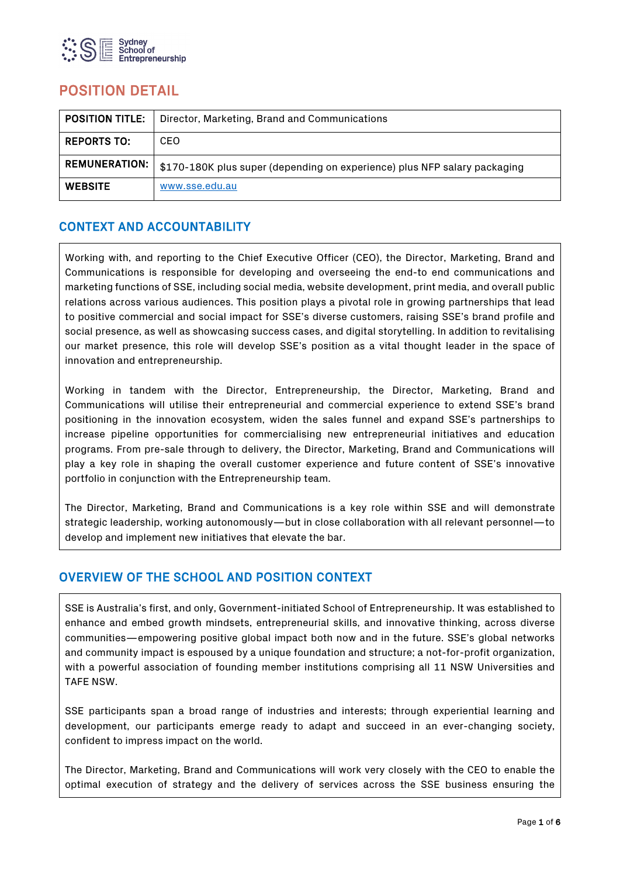

# POSITION DETAIL

| <b>POSITION TITLE.</b> | Director, Marketing, Brand and Communications                             |
|------------------------|---------------------------------------------------------------------------|
| <b>REPORTS TO:</b>     | CEO                                                                       |
| <b>REMUNERATION:</b> I | \$170-180K plus super (depending on experience) plus NFP salary packaging |
| <b>WEBSITE</b>         | www.sse.edu.au                                                            |

# CONTEXT AND ACCOUNTABILITY

Working with, and reporting to the Chief Executive Officer (CEO), the Director, Marketing, Brand and Communications is responsible for developing and overseeing the end-to end communications and marketing functions of SSE, including social media, website development, print media, and overall public relations across various audiences. This position plays a pivotal role in growing partnerships that lead to positive commercial and social impact for SSE's diverse customers, raising SSE's brand profile and social presence, as well as showcasing success cases, and digital storytelling. In addition to revitalising our market presence, this role will develop SSE's position as a vital thought leader in the space of innovation and entrepreneurship.

Working in tandem with the Director, Entrepreneurship, the Director, Marketing, Brand and Communications will utilise their entrepreneurial and commercial experience to extend SSE's brand positioning in the innovation ecosystem, widen the sales funnel and expand SSE's partnerships to increase pipeline opportunities for commercialising new entrepreneurial initiatives and education programs. From pre-sale through to delivery, the Director, Marketing, Brand and Communications will play a key role in shaping the overall customer experience and future content of SSE's innovative portfolio in conjunction with the Entrepreneurship team.

The Director, Marketing, Brand and Communications is a key role within SSE and will demonstrate strategic leadership, working autonomously—but in close collaboration with all relevant personnel—to develop and implement new initiatives that elevate the bar.

### OVERVIEW OF THE SCHOOL AND POSITION CONTEXT

SSE is Australia's first, and only, Government-initiated School of Entrepreneurship. It was established to enhance and embed growth mindsets, entrepreneurial skills, and innovative thinking, across diverse communities—empowering positive global impact both now and in the future. SSE's global networks and community impact is espoused by a unique foundation and structure; a not-for-profit organization, with a powerful association of founding member institutions comprising all 11 NSW Universities and TAFE NSW.

SSE participants span a broad range of industries and interests; through experiential learning and development, our participants emerge ready to adapt and succeed in an ever-changing society, confident to impress impact on the world.

The Director, Marketing, Brand and Communications will work very closely with the CEO to enable the optimal execution of strategy and the delivery of services across the SSE business ensuring the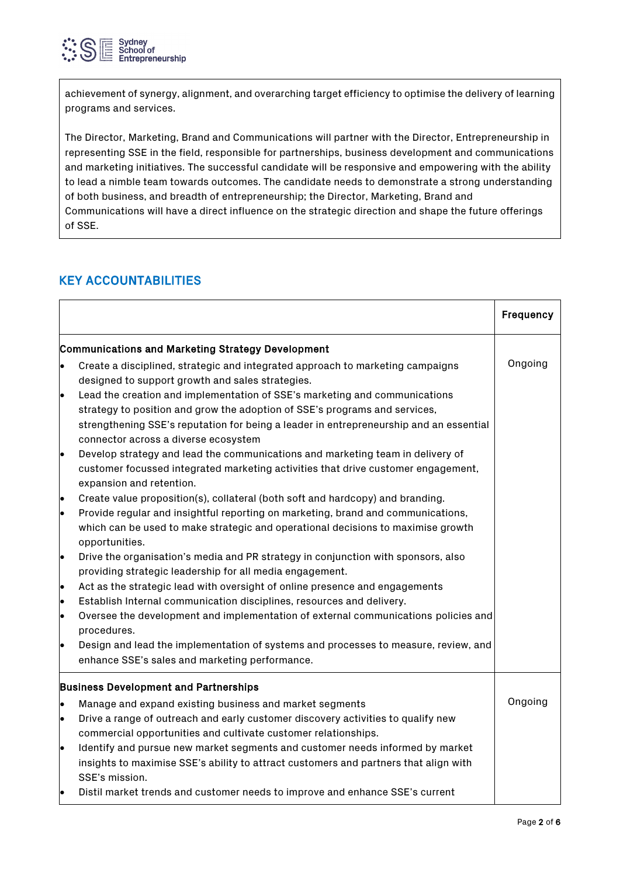

achievement of synergy, alignment, and overarching target efficiency to optimise the delivery of learning programs and services.

The Director, Marketing, Brand and Communications will partner with the Director, Entrepreneurship in representing SSE in the field, responsible for partnerships, business development and communications and marketing initiatives. The successful candidate will be responsive and empowering with the ability to lead a nimble team towards outcomes. The candidate needs to demonstrate a strong understanding of both business, and breadth of entrepreneurship; the Director, Marketing, Brand and Communications will have a direct influence on the strategic direction and shape the future offerings of SSE.

# KEY ACCOUNTABILITIES

|                                              |                                                                                                                                                                                                                                                                                            | <b>Frequency</b> |
|----------------------------------------------|--------------------------------------------------------------------------------------------------------------------------------------------------------------------------------------------------------------------------------------------------------------------------------------------|------------------|
|                                              | Communications and Marketing Strategy Development                                                                                                                                                                                                                                          |                  |
| le.                                          | Create a disciplined, strategic and integrated approach to marketing campaigns<br>designed to support growth and sales strategies.                                                                                                                                                         | Ongoing          |
| le.                                          | Lead the creation and implementation of SSE's marketing and communications<br>strategy to position and grow the adoption of SSE's programs and services,<br>strengthening SSE's reputation for being a leader in entrepreneurship and an essential<br>connector across a diverse ecosystem |                  |
| le.                                          | Develop strategy and lead the communications and marketing team in delivery of<br>customer focussed integrated marketing activities that drive customer engagement,<br>expansion and retention.                                                                                            |                  |
| le.<br>le.                                   | Create value proposition(s), collateral (both soft and hardcopy) and branding.<br>Provide regular and insightful reporting on marketing, brand and communications,<br>which can be used to make strategic and operational decisions to maximise growth<br>opportunities.                   |                  |
| le.                                          | Drive the organisation's media and PR strategy in conjunction with sponsors, also<br>providing strategic leadership for all media engagement.                                                                                                                                              |                  |
| lo<br>le<br>le.                              | Act as the strategic lead with oversight of online presence and engagements<br>Establish Internal communication disciplines, resources and delivery.<br>Oversee the development and implementation of external communications policies and<br>procedures.                                  |                  |
| $\bullet$                                    | Design and lead the implementation of systems and processes to measure, review, and<br>enhance SSE's sales and marketing performance.                                                                                                                                                      |                  |
| <b>Business Development and Partnerships</b> |                                                                                                                                                                                                                                                                                            |                  |
| le.                                          | Manage and expand existing business and market segments                                                                                                                                                                                                                                    | Ongoing          |
| le.                                          | Drive a range of outreach and early customer discovery activities to qualify new<br>commercial opportunities and cultivate customer relationships.                                                                                                                                         |                  |
| le                                           | Identify and pursue new market segments and customer needs informed by market<br>insights to maximise SSE's ability to attract customers and partners that align with<br>SSE's mission.                                                                                                    |                  |
| lo                                           | Distil market trends and customer needs to improve and enhance SSE's current                                                                                                                                                                                                               |                  |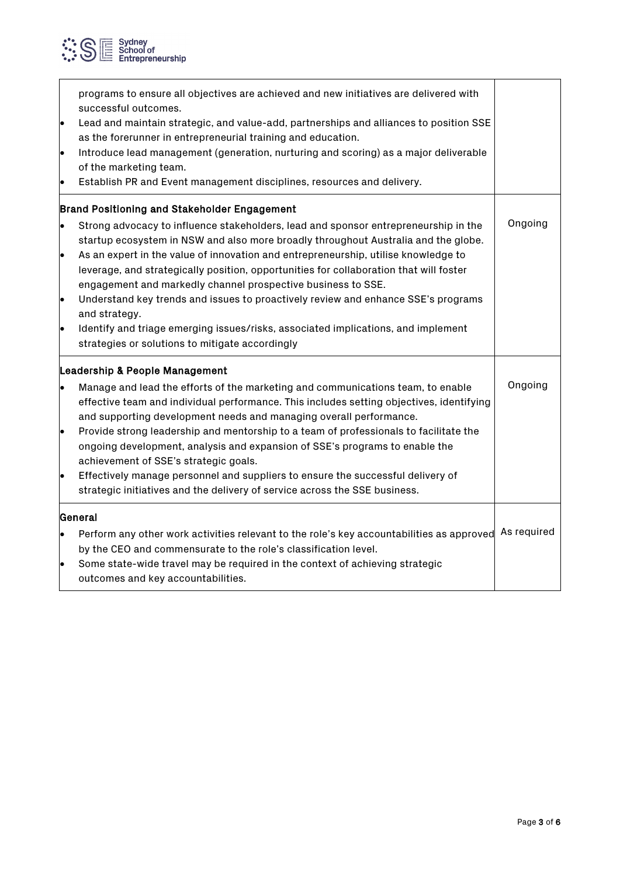

| $\bullet$                    | programs to ensure all objectives are achieved and new initiatives are delivered with<br>successful outcomes.<br>Lead and maintain strategic, and value-add, partnerships and alliances to position SSE<br>as the forerunner in entrepreneurial training and education.<br>Introduce lead management (generation, nurturing and scoring) as a major deliverable<br>of the marketing team.<br>Establish PR and Event management disciplines, resources and delivery.                                                                                                                                                                                                     |             |
|------------------------------|-------------------------------------------------------------------------------------------------------------------------------------------------------------------------------------------------------------------------------------------------------------------------------------------------------------------------------------------------------------------------------------------------------------------------------------------------------------------------------------------------------------------------------------------------------------------------------------------------------------------------------------------------------------------------|-------------|
|                              | Brand Positioning and Stakeholder Engagement                                                                                                                                                                                                                                                                                                                                                                                                                                                                                                                                                                                                                            |             |
| $\bullet$<br>lo<br>$\bullet$ | Strong advocacy to influence stakeholders, lead and sponsor entrepreneurship in the<br>startup ecosystem in NSW and also more broadly throughout Australia and the globe.<br>As an expert in the value of innovation and entrepreneurship, utilise knowledge to<br>leverage, and strategically position, opportunities for collaboration that will foster<br>engagement and markedly channel prospective business to SSE.<br>Understand key trends and issues to proactively review and enhance SSE's programs<br>and strategy.<br>Identify and triage emerging issues/risks, associated implications, and implement<br>strategies or solutions to mitigate accordingly | Ongoing     |
|                              | Leadership & People Management                                                                                                                                                                                                                                                                                                                                                                                                                                                                                                                                                                                                                                          |             |
| le                           | Manage and lead the efforts of the marketing and communications team, to enable<br>effective team and individual performance. This includes setting objectives, identifying<br>and supporting development needs and managing overall performance.<br>Provide strong leadership and mentorship to a team of professionals to facilitate the<br>ongoing development, analysis and expansion of SSE's programs to enable the<br>achievement of SSE's strategic goals.<br>Effectively manage personnel and suppliers to ensure the successful delivery of<br>strategic initiatives and the delivery of service across the SSE business.                                     | Ongoing     |
| General                      |                                                                                                                                                                                                                                                                                                                                                                                                                                                                                                                                                                                                                                                                         |             |
| $\bullet$<br>$\bullet$       | Perform any other work activities relevant to the role's key accountabilities as approved<br>by the CEO and commensurate to the role's classification level.<br>Some state-wide travel may be required in the context of achieving strategic<br>outcomes and key accountabilities.                                                                                                                                                                                                                                                                                                                                                                                      | As required |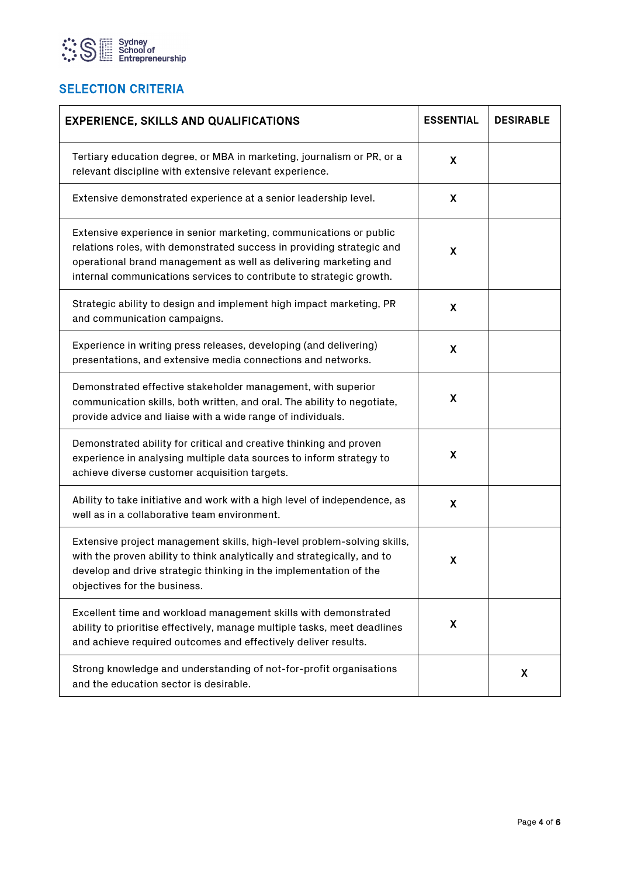

# **SELECTION CRITERIA**

| <b>EXPERIENCE, SKILLS AND QUALIFICATIONS</b>                                                                                                                                                                                                                                           | <b>ESSENTIAL</b>          | <b>DESIRABLE</b> |
|----------------------------------------------------------------------------------------------------------------------------------------------------------------------------------------------------------------------------------------------------------------------------------------|---------------------------|------------------|
| Tertiary education degree, or MBA in marketing, journalism or PR, or a<br>relevant discipline with extensive relevant experience.                                                                                                                                                      | X                         |                  |
| Extensive demonstrated experience at a senior leadership level.                                                                                                                                                                                                                        | X                         |                  |
| Extensive experience in senior marketing, communications or public<br>relations roles, with demonstrated success in providing strategic and<br>operational brand management as well as delivering marketing and<br>internal communications services to contribute to strategic growth. | X                         |                  |
| Strategic ability to design and implement high impact marketing, PR<br>and communication campaigns.                                                                                                                                                                                    | X                         |                  |
| Experience in writing press releases, developing (and delivering)<br>presentations, and extensive media connections and networks.                                                                                                                                                      | $\boldsymbol{\mathsf{X}}$ |                  |
| Demonstrated effective stakeholder management, with superior<br>communication skills, both written, and oral. The ability to negotiate,<br>provide advice and liaise with a wide range of individuals.                                                                                 | $\boldsymbol{\mathsf{X}}$ |                  |
| Demonstrated ability for critical and creative thinking and proven<br>experience in analysing multiple data sources to inform strategy to<br>achieve diverse customer acquisition targets.                                                                                             | X                         |                  |
| Ability to take initiative and work with a high level of independence, as<br>well as in a collaborative team environment.                                                                                                                                                              | X                         |                  |
| Extensive project management skills, high-level problem-solving skills,<br>with the proven ability to think analytically and strategically, and to<br>develop and drive strategic thinking in the implementation of the<br>objectives for the business.                                | X                         |                  |
| Excellent time and workload management skills with demonstrated<br>ability to prioritise effectively, manage multiple tasks, meet deadlines<br>and achieve required outcomes and effectively deliver results.                                                                          | X                         |                  |
| Strong knowledge and understanding of not-for-profit organisations<br>and the education sector is desirable.                                                                                                                                                                           |                           | X.               |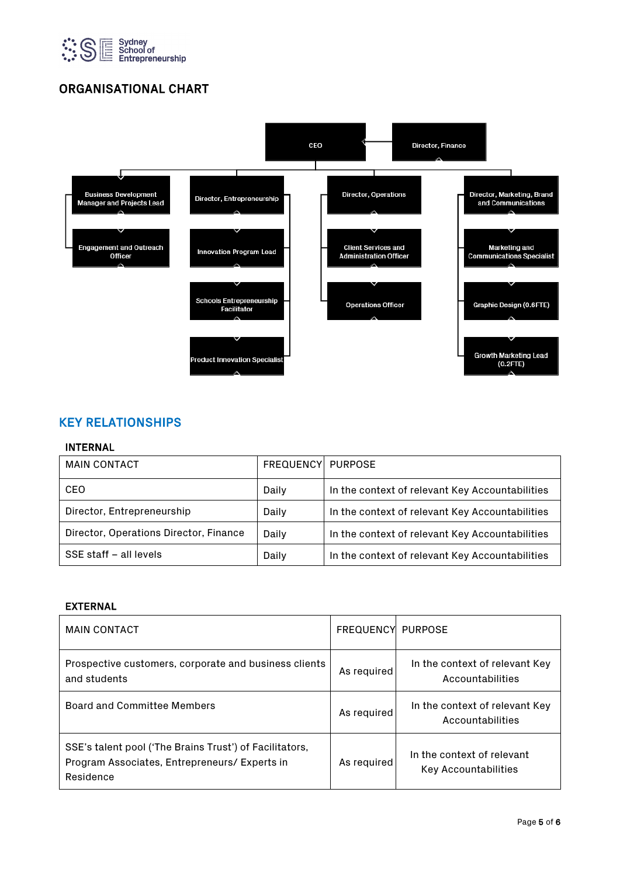

# ORGANISATIONAL CHART



### KEY RELATIONSHIPS

#### INTERNAL

| <b>MAIN CONTACT</b>                    | <b>FREQUENCYI PURPOSE</b> |                                                 |
|----------------------------------------|---------------------------|-------------------------------------------------|
| <b>CEO</b>                             | Daily                     | In the context of relevant Key Accountabilities |
| Director, Entrepreneurship             | Daily                     | In the context of relevant Key Accountabilities |
| Director, Operations Director, Finance | Daily                     | In the context of relevant Key Accountabilities |
| SSE staff - all levels                 | Daily                     | In the context of relevant Key Accountabilities |

### EXTERNAL

| <b>MAIN CONTACT</b>                                                                                                   | <b>FREQUENCYI PURPOSE</b> |                                                           |
|-----------------------------------------------------------------------------------------------------------------------|---------------------------|-----------------------------------------------------------|
| Prospective customers, corporate and business clients<br>and students                                                 | As required               | In the context of relevant Key<br>Accountabilities        |
| Board and Committee Members                                                                                           | As required               | In the context of relevant Key<br>Accountabilities        |
| SSE's talent pool ('The Brains Trust') of Facilitators,<br>Program Associates, Entrepreneurs/ Experts in<br>Residence | As required               | In the context of relevant<br><b>Key Accountabilities</b> |